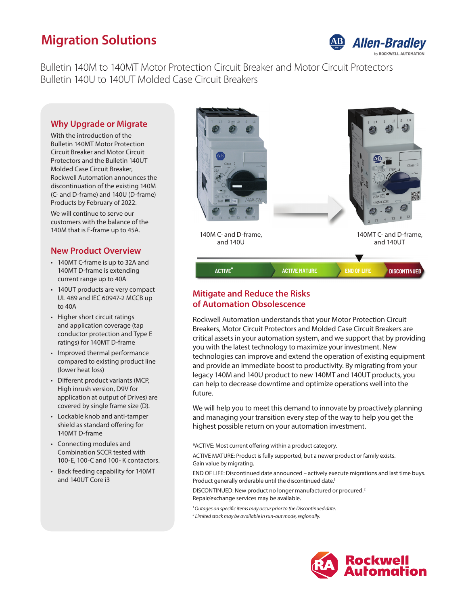# **Migration Solutions**



Bulletin 140M to 140MT Motor Protection Circuit Breaker and Motor Circuit Protectors Bulletin 140U to 140UT Molded Case Circuit Breakers

### **Why Upgrade or Migrate**

With the introduction of the Bulletin 140MT Motor Protection Circuit Breaker and Motor Circuit Protectors and the Bulletin 140UT Molded Case Circuit Breaker, Rockwell Automation announces the discontinuation of the existing 140M (C- and D-frame) and 140U (D-frame) Products by February of 2022.

We will continue to serve our customers with the balance of the 140M that is F-frame up to 45A.

#### **New Product Overview**

- 140MT C-frame is up to 32A and 140MT D-frame is extending current range up to 40A
- 140UT products are very compact UL 489 and IEC 60947-2 MCCB up to 40A
- Higher short circuit ratings and application coverage (tap conductor protection and Type E ratings) for 140MT D-frame
- Improved thermal performance compared to existing product line (lower heat loss)
- Different product variants (MCP, High inrush version, D9V for application at output of Drives) are covered by single frame size (D).
- Lockable knob and anti-tamper shield as standard offering for 140MT D-frame
- Connecting modules and Combination SCCR tested with 100-E, 100-C and 100- K contactors.
- Back feeding capability for 140MT and 140UT Core i3



## **Mitigate and Reduce the Risks of Automation Obsolescence**

Rockwell Automation understands that your Motor Protection Circuit Breakers, Motor Circuit Protectors and Molded Case Circuit Breakers are critical assets in your automation system, and we support that by providing you with the latest technology to maximize your investment. New technologies can improve and extend the operation of existing equipment and provide an immediate boost to productivity. By migrating from your legacy 140M and 140U product to new 140MT and 140UT products, you can help to decrease downtime and optimize operations well into the future.

We will help you to meet this demand to innovate by proactively planning and managing your transition every step of the way to help you get the highest possible return on your automation investment.

\*ACTIVE: Most current offering within a product category.

ACTIVE MATURE: Product is fully supported, but a newer product or family exists. Gain value by migrating.

END OF LIFE: Discontinued date announced – actively execute migrations and last time buys. Product generally orderable until the discontinued date.<sup>1</sup>

DISCONTINUED: New product no longer manufactured or procured.2 Repair/exchange services may be available.

*1 Outages on specific items may occur prior to the Discontinued date.*

*2 Limited stock may be available in run-out mode, regionally.*

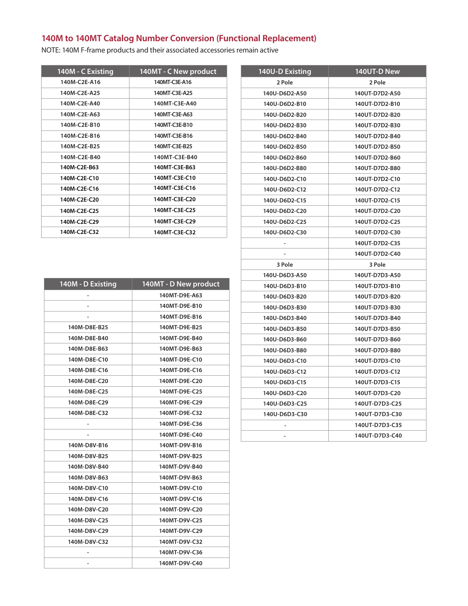NOTE: 140M F-frame products and their associated accessories remain active

| 140M - C Existing | 140MT - C New product |
|-------------------|-----------------------|
| 140M-C2E-A16      | 140MT-C3E-A16         |
| 140M-C2E-A25      | 140MT-C3E-A25         |
| 140M-C2E-A40      | 140MT-C3E-A40         |
| 140M-C2E-A63      | 140MT-C3E-A63         |
| 140M-C2E-B10      | 140MT-C3E-B10         |
| 140M-C2E-B16      | 140MT-C3E-B16         |
| 140M-C2E-B25      | 140MT-C3E-B25         |
| 140M-C2E-B40      | 140MT-C3E-B40         |
| 140M-C2E-B63      | 140MT-C3E-B63         |
| 140M-C2E-C10      | 140MT-C3E-C10         |
| 140M-C2E-C16      | 140MT-C3E-C16         |
| 140M-C2E-C20      | 140MT-C3E-C20         |
| 140M-C2E-C25      | 140MT-C3E-C25         |
| 140M-C2E-C29      | 140MT-C3E-C29         |
| 140M-C2E-C32      | 140MT-C3E-C32         |

| 2 Pole<br>2 Pole<br>140U-D6D2-A50<br>140UT-D7D2-A50<br>140U-D6D2-B10<br>140UT-D7D2-B10<br>140U-D6D2-B20<br>140UT-D7D2-B20<br>140U-D6D2-B30<br>140UT-D7D2-B30<br>140U-D6D2-B40<br>140UT-D7D2-B40<br>140U-D6D2-B50<br>140UT-D7D2-B50<br>140U-D6D2-B60<br>140UT-D7D2-B60<br>140U-D6D2-B80<br>140UT-D7D2-B80<br>140U-D6D2-C10<br>140UT-D7D2-C10<br>140U-D6D2-C12<br>140UT-D7D2-C12<br>140U-D6D2-C15<br>140UT-D7D2-C15<br>140UT-D7D2-C20<br>140U-D6D2-C20<br>140U-D6D2-C25<br>140UT-D7D2-C25<br>140U-D6D2-C30<br>140UT-D7D2-C30<br>140UT-D7D2-C35<br>140UT-D7D2-C40<br>3 Pole<br>3 Pole<br>140U-D6D3-A50<br>140UT-D7D3-A50<br>140U-D6D3-B10<br>140UT-D7D3-B10<br>140U-D6D3-B20<br>140UT-D7D3-B20<br>140U-D6D3-B30<br>140UT-D7D3-B30<br>140U-D6D3-B40<br>140UT-D7D3-B40<br>140U-D6D3-B50<br>140UT-D7D3-B50<br>140U-D6D3-B60<br>140UT-D7D3-B60<br>140U-D6D3-B80<br>140UT-D7D3-B80<br>140U-D6D3-C10<br>140UT-D7D3-C10<br>140U-D6D3-C12<br>140UT-D7D3-C12<br>140U-D6D3-C15<br>140UT-D7D3-C15<br>140U-D6D3-C20<br>140UT-D7D3-C20<br>140U-D6D3-C25<br>140UT-D7D3-C25<br>140U-D6D3-C30<br>140UT-D7D3-C30<br>140UT-D7D3-C35<br>140UT-D7D3-C40 | <b>140U-D Existing</b> | 140UT-D New |
|----------------------------------------------------------------------------------------------------------------------------------------------------------------------------------------------------------------------------------------------------------------------------------------------------------------------------------------------------------------------------------------------------------------------------------------------------------------------------------------------------------------------------------------------------------------------------------------------------------------------------------------------------------------------------------------------------------------------------------------------------------------------------------------------------------------------------------------------------------------------------------------------------------------------------------------------------------------------------------------------------------------------------------------------------------------------------------------------------------------------------------|------------------------|-------------|
|                                                                                                                                                                                                                                                                                                                                                                                                                                                                                                                                                                                                                                                                                                                                                                                                                                                                                                                                                                                                                                                                                                                                  |                        |             |
|                                                                                                                                                                                                                                                                                                                                                                                                                                                                                                                                                                                                                                                                                                                                                                                                                                                                                                                                                                                                                                                                                                                                  |                        |             |
|                                                                                                                                                                                                                                                                                                                                                                                                                                                                                                                                                                                                                                                                                                                                                                                                                                                                                                                                                                                                                                                                                                                                  |                        |             |
|                                                                                                                                                                                                                                                                                                                                                                                                                                                                                                                                                                                                                                                                                                                                                                                                                                                                                                                                                                                                                                                                                                                                  |                        |             |
|                                                                                                                                                                                                                                                                                                                                                                                                                                                                                                                                                                                                                                                                                                                                                                                                                                                                                                                                                                                                                                                                                                                                  |                        |             |
|                                                                                                                                                                                                                                                                                                                                                                                                                                                                                                                                                                                                                                                                                                                                                                                                                                                                                                                                                                                                                                                                                                                                  |                        |             |
|                                                                                                                                                                                                                                                                                                                                                                                                                                                                                                                                                                                                                                                                                                                                                                                                                                                                                                                                                                                                                                                                                                                                  |                        |             |
|                                                                                                                                                                                                                                                                                                                                                                                                                                                                                                                                                                                                                                                                                                                                                                                                                                                                                                                                                                                                                                                                                                                                  |                        |             |
|                                                                                                                                                                                                                                                                                                                                                                                                                                                                                                                                                                                                                                                                                                                                                                                                                                                                                                                                                                                                                                                                                                                                  |                        |             |
|                                                                                                                                                                                                                                                                                                                                                                                                                                                                                                                                                                                                                                                                                                                                                                                                                                                                                                                                                                                                                                                                                                                                  |                        |             |
|                                                                                                                                                                                                                                                                                                                                                                                                                                                                                                                                                                                                                                                                                                                                                                                                                                                                                                                                                                                                                                                                                                                                  |                        |             |
|                                                                                                                                                                                                                                                                                                                                                                                                                                                                                                                                                                                                                                                                                                                                                                                                                                                                                                                                                                                                                                                                                                                                  |                        |             |
|                                                                                                                                                                                                                                                                                                                                                                                                                                                                                                                                                                                                                                                                                                                                                                                                                                                                                                                                                                                                                                                                                                                                  |                        |             |
|                                                                                                                                                                                                                                                                                                                                                                                                                                                                                                                                                                                                                                                                                                                                                                                                                                                                                                                                                                                                                                                                                                                                  |                        |             |
|                                                                                                                                                                                                                                                                                                                                                                                                                                                                                                                                                                                                                                                                                                                                                                                                                                                                                                                                                                                                                                                                                                                                  |                        |             |
|                                                                                                                                                                                                                                                                                                                                                                                                                                                                                                                                                                                                                                                                                                                                                                                                                                                                                                                                                                                                                                                                                                                                  |                        |             |
|                                                                                                                                                                                                                                                                                                                                                                                                                                                                                                                                                                                                                                                                                                                                                                                                                                                                                                                                                                                                                                                                                                                                  |                        |             |
|                                                                                                                                                                                                                                                                                                                                                                                                                                                                                                                                                                                                                                                                                                                                                                                                                                                                                                                                                                                                                                                                                                                                  |                        |             |
|                                                                                                                                                                                                                                                                                                                                                                                                                                                                                                                                                                                                                                                                                                                                                                                                                                                                                                                                                                                                                                                                                                                                  |                        |             |
|                                                                                                                                                                                                                                                                                                                                                                                                                                                                                                                                                                                                                                                                                                                                                                                                                                                                                                                                                                                                                                                                                                                                  |                        |             |
|                                                                                                                                                                                                                                                                                                                                                                                                                                                                                                                                                                                                                                                                                                                                                                                                                                                                                                                                                                                                                                                                                                                                  |                        |             |
|                                                                                                                                                                                                                                                                                                                                                                                                                                                                                                                                                                                                                                                                                                                                                                                                                                                                                                                                                                                                                                                                                                                                  |                        |             |
|                                                                                                                                                                                                                                                                                                                                                                                                                                                                                                                                                                                                                                                                                                                                                                                                                                                                                                                                                                                                                                                                                                                                  |                        |             |
|                                                                                                                                                                                                                                                                                                                                                                                                                                                                                                                                                                                                                                                                                                                                                                                                                                                                                                                                                                                                                                                                                                                                  |                        |             |
|                                                                                                                                                                                                                                                                                                                                                                                                                                                                                                                                                                                                                                                                                                                                                                                                                                                                                                                                                                                                                                                                                                                                  |                        |             |
|                                                                                                                                                                                                                                                                                                                                                                                                                                                                                                                                                                                                                                                                                                                                                                                                                                                                                                                                                                                                                                                                                                                                  |                        |             |
|                                                                                                                                                                                                                                                                                                                                                                                                                                                                                                                                                                                                                                                                                                                                                                                                                                                                                                                                                                                                                                                                                                                                  |                        |             |
|                                                                                                                                                                                                                                                                                                                                                                                                                                                                                                                                                                                                                                                                                                                                                                                                                                                                                                                                                                                                                                                                                                                                  |                        |             |
|                                                                                                                                                                                                                                                                                                                                                                                                                                                                                                                                                                                                                                                                                                                                                                                                                                                                                                                                                                                                                                                                                                                                  |                        |             |
|                                                                                                                                                                                                                                                                                                                                                                                                                                                                                                                                                                                                                                                                                                                                                                                                                                                                                                                                                                                                                                                                                                                                  |                        |             |
|                                                                                                                                                                                                                                                                                                                                                                                                                                                                                                                                                                                                                                                                                                                                                                                                                                                                                                                                                                                                                                                                                                                                  |                        |             |
|                                                                                                                                                                                                                                                                                                                                                                                                                                                                                                                                                                                                                                                                                                                                                                                                                                                                                                                                                                                                                                                                                                                                  |                        |             |
|                                                                                                                                                                                                                                                                                                                                                                                                                                                                                                                                                                                                                                                                                                                                                                                                                                                                                                                                                                                                                                                                                                                                  |                        |             |
|                                                                                                                                                                                                                                                                                                                                                                                                                                                                                                                                                                                                                                                                                                                                                                                                                                                                                                                                                                                                                                                                                                                                  |                        |             |

| 140M - D Existing | 140MT - D New product |
|-------------------|-----------------------|
|                   | 140MT-D9E-A63         |
|                   | 140MT-D9E-B10         |
|                   | 140MT-D9E-B16         |
| 140M-D8E-B25      | 140MT-D9E-B25         |
| 140M-D8E-B40      | 140MT-D9E-B40         |
| 140M-D8E-B63      | 140MT-D9E-B63         |
| 140M-D8E-C10      | 140MT-D9E-C10         |
| 140M-D8E-C16      | 140MT-D9E-C16         |
| 140M-D8E-C20      | 140MT-D9E-C20         |
| 140M-D8E-C25      | 140MT-D9E-C25         |
| 140M-D8E-C29      | 140MT-D9E-C29         |
| 140M-D8E-C32      | 140MT-D9E-C32         |
|                   | 140MT-D9E-C36         |
|                   | 140MT-D9E-C40         |
| 140M-D8V-B16      | 140MT-D9V-B16         |
| 140M-D8V-B25      | 140MT-D9V-B25         |
| 140M-D8V-B40      | 140MT-D9V-B40         |
| 140M-D8V-B63      | 140MT-D9V-B63         |
| 140M-D8V-C10      | 140MT-D9V-C10         |
| 140M-D8V-C16      | 140MT-D9V-C16         |
| 140M-D8V-C20      | 140MT-D9V-C20         |
| 140M-D8V-C25      | 140MT-D9V-C25         |
| 140M-D8V-C29      | 140MT-D9V-C29         |
| 140M-D8V-C32      | 140MT-D9V-C32         |
|                   | 140MT-D9V-C36         |
|                   | 140MT-D9V-C40         |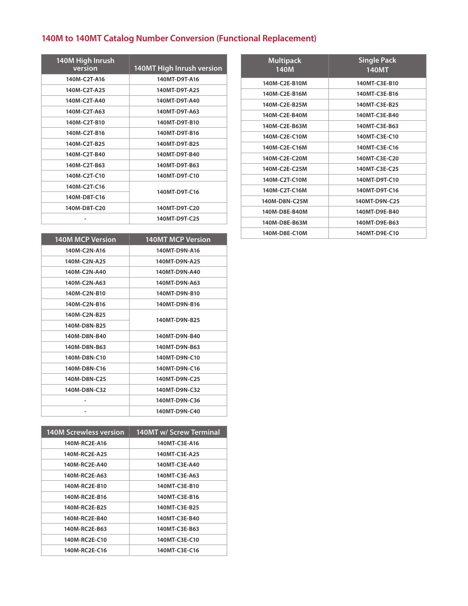| 140M High Inrush<br>version | <b>140MT High Inrush version</b> |
|-----------------------------|----------------------------------|
| 140M-C2T-A16                | 140MT-D9T-A16                    |
| 140M-C2T-A25                | 140MT-D9T-A25                    |
| 140M-C2T-A40                | 140MT-D9T-A40                    |
| 140M-C2T-A63                | 140MT-D9T-A63                    |
| 140M-C2T-B10                | 140MT-D9T-B10                    |
| 140M-C2T-B16                | 140MT-D9T-B16                    |
| 140M-C2T-B25                | 140MT-D9T-B25                    |
| 140M-C2T-B40                | 140MT-D9T-B40                    |
| 140M-C2T-B63                | 140MT-D9T-B63                    |
| 140M-C2T-C10                | 140MT-D9T-C10                    |
| 140M-C2T-C16                | 140MT-D9T-C16                    |
| 140M-D8T-C16                |                                  |
| 140M-D8T-C20                | 140MT-D9T-C20                    |
|                             | 140MT-D9T-C25                    |

| <b>140M MCP Version</b> | <b>140MT MCP Version</b> |
|-------------------------|--------------------------|
| 140M-C2N-A16            | 140MT-D9N-A16            |
| 140M-C2N-A25            | 140MT-D9N-A25            |
| 140M-C2N-A40            | 140MT-D9N-A40            |
| 140M-C2N-A63            | 140MT-D9N-A63            |
| 140M-C2N-B10            | 140MT-D9N-B10            |
| 140M-C2N-B16            | 140MT-D9N-B16            |
| 140M-C2N-B25            | 140MT-D9N-B25            |
| 140M-D8N-B25            |                          |
| 140M-D8N-B40            | 140MT-D9N-B40            |
| 140M-D8N-B63            | 140MT-D9N-B63            |
| 140M-D8N-C10            | 140MT-D9N-C10            |
| 140M-D8N-C16            | 140MT-D9N-C16            |
| 140M-D8N-C25            | 140MT-D9N-C25            |
| 140M-D8N-C32            | 140MT-D9N-C32            |
|                         | 140MT-D9N-C36            |
|                         | 140MT-D9N-C40            |

| <b>140M Screwless version</b> | 140MT w/ Screw Terminal |
|-------------------------------|-------------------------|
| 140M-RC2E-A16                 | 140MT-C3E-A16           |
| 140M-RC2E-A25                 | 140MT-C3E-A25           |
| 140M-RC2E-A40                 | 140MT-C3E-A40           |
| 140M-RC2E-A63                 | 140MT-C3E-A63           |
| 140M-RC2E-B10                 | 140MT-C3E-B10           |
| 140M-RC2E-B16                 | 140MT-C3E-B16           |
| 140M-RC2E-B25                 | 140MT-C3E-B25           |
| 140M-RC2E-B40                 | 140MT-C3E-B40           |
| 140M-RC2E-B63                 | 140MT-C3E-B63           |
| 140M-RC2E-C10                 | 140MT-C3E-C10           |
| 140M-RC2E-C16                 | 140MT-C3E-C16           |

| <b>Multipack</b><br>140M | <b>Single Pack</b><br><b>140MT</b> |
|--------------------------|------------------------------------|
| 140M-C2E-B10M            | 140MT-C3E-B10                      |
| 140M-C2E-B16M            | 140MT-C3E-B16                      |
| 140M-C2E-B25M            | 140MT-C3E-B25                      |
| 140M-C2E-B40M            | 140MT-C3E-B40                      |
| 140M-C2E-B63M            | 140MT-C3E-B63                      |
| 140M-C2E-C10M            | 140MT-C3E-C10                      |
| 140M-C2E-C16M            | 140MT-C3E-C16                      |
| 140M-C2E-C20M            | 140MT-C3E-C20                      |
| 140M-C2E-C25M            | 140MT-C3E-C25                      |
| 140M-C2T-C10M            | 140MT-D9T-C10                      |
| 140M-C2T-C16M            | 140MT-D9T-C16                      |
| 140M-D8N-C25M            | 140MT-D9N-C25                      |
| 140M-D8E-B40M            | 140MT-D9E-B40                      |
| 140M-D8E-B63M            | 140MT-D9E-B63                      |
| 140M-D8E-C10M            | 140MT-D9E-C10                      |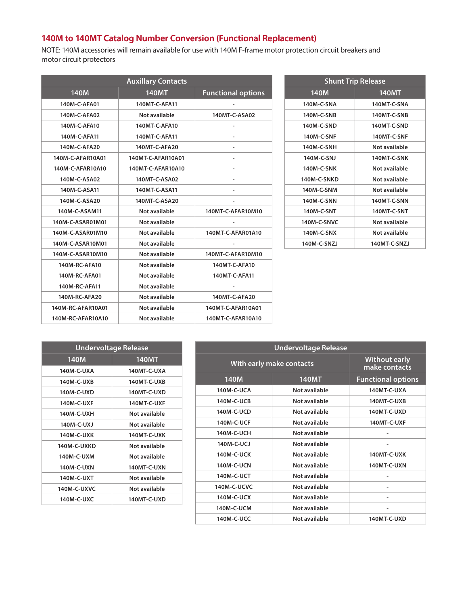NOTE: 140M accessories will remain available for use with 140M F-frame motor protection circuit breakers and motor circuit protectors

| <b>Auxillary Contacts</b> |                      |                           |
|---------------------------|----------------------|---------------------------|
| <b>140M</b>               | <b>140MT</b>         | <b>Functional options</b> |
| 140M-C-AFA01              | 140MT-C-AFA11        |                           |
| 140M-C-AFA02              | Not available        | 140MT-C-ASA02             |
| 140M-C-AFA10              | 140MT-C-AFA10        | $\overline{a}$            |
| 140M-C-AFA11              | 140MT-C-AFA11        |                           |
| 140M-C-AFA20              | 140MT-C-AFA20        |                           |
| 140M-C-AFAR10A01          | 140MT-C-AFAR10A01    | $\overline{\phantom{a}}$  |
| 140M-C-AFAR10A10          | 140MT-C-AFAR10A10    |                           |
| 140M-C-ASA02              | 140MT-C-ASA02        |                           |
| 140M-C-ASA11              | 140MT-C-ASA11        |                           |
| 140M-C-ASA20              | 140MT-C-ASA20        |                           |
| 140M-C-ASAM11             | <b>Not available</b> | 140MT-C-AFAR10M10         |
| 140M-C-ASAR01M01          | Not available        |                           |
| 140M-C-ASAR01M10          | <b>Not available</b> | 140MT-C-AFAR01A10         |
| 140M-C-ASAR10M01          | Not available        |                           |
| 140M-C-ASAR10M10          | Not available        | 140MT-C-AFAR10M10         |
| 140M-RC-AFA10             | Not available        | 140MT-C-AFA10             |
| 140M-RC-AFA01             | Not available        | 140MT-C-AFA11             |
| 140M-RC-AFA11             | Not available        |                           |
| 140M-RC-AFA20             | Not available        | 140MT-C-AFA20             |
| 140M-RC-AFAR10A01         | Not available        | 140MT-C-AFAR10A01         |
| 140M-RC-AFAR10A10         | Not available        | 140MT-C-AFAR10A10         |

| <b>Shunt Trip Release</b> |                    |  |
|---------------------------|--------------------|--|
| 140M                      | <b>140MT</b>       |  |
| 140M-C-SNA                | 140MT-C-SNA        |  |
| 140M-C-SNB                | <b>140MT-C-SNB</b> |  |
| 140M-C-SND                | 140MT-C-SND        |  |
| 140M-C-SNF                | 140MT-C-SNF        |  |
| 140M-C-SNH                | Not available      |  |
| 140M-C-SNJ                | 140MT-C-SNK        |  |
| 140M-C-SNK                | Not available      |  |
| 140M-C-SNKD               | Not available      |  |
| 140M-C-SNM                | Not available      |  |
| 140M-C-SNN                | 140MT-C-SNN        |  |
| 140M-C-SNT                | 140MT-C-SNT        |  |
| 140M-C-SNVC               | Not available      |  |
| 140M-C-SNX                | Not available      |  |
| 140M-C-SNZJ               | 140MT-C-SNZJ       |  |

| <b>Undervoltage Release</b> |               |  |
|-----------------------------|---------------|--|
| 140M                        | <b>140MT</b>  |  |
| 140M-C-UXA                  | 140MT-C-UXA   |  |
| 140M-C-UXB                  | 140MT-C-UXB   |  |
| 140M-C-UXD                  | 140MT-C-UXD   |  |
| 140M-C-UXF                  | 140MT-C-UXF   |  |
| 140M-C-UXH                  | Not available |  |
| 140M-C-UXJ                  | Not available |  |
| 140M-C-UXK                  | 140MT-C-UXK   |  |
| 140M-C-UXKD                 | Not available |  |
| 140M-C-UXM                  | Not available |  |
| 140M-C-UXN                  | 140MT-C-UXN   |  |
| 140M-C-UXT                  | Not available |  |
| 140M-C-UXVC                 | Not available |  |
| 140M-C-UXC                  | 140MT-C-UXD   |  |

|                   | <b>Undervoltage Release</b> |                           |
|-------------------|-----------------------------|---------------------------|
|                   | With early make contacts    |                           |
| 140M              | <b>140MT</b>                | <b>Functional options</b> |
| 140M-C-UCA        | Not available               | 140MT-C-UXA               |
| <b>140M-C-UCB</b> | Not available               | 140MT-C-UXB               |
| 140M-C-UCD        | Not available               | 140MT-C-UXD               |
| <b>140M-C-UCF</b> | Not available               | 140MT-C-UXF               |
| 140M-C-UCH        | Not available               |                           |
| 140M-C-UCJ        | Not available               |                           |
| <b>140M-C-UCK</b> | Not available               | 140MT-C-UXK               |
| <b>140M-C-UCN</b> | Not available               | 140MT-C-UXN               |
| 140M-C-UCT        | Not available               |                           |
| 140M-C-UCVC       | Not available               |                           |
| 140M-C-UCX        | Not available               | ٠                         |
| 140M-C-UCM        | Not available               | ۰                         |
| 140M-C-UCC        | Not available               | 140MT-C-UXD               |